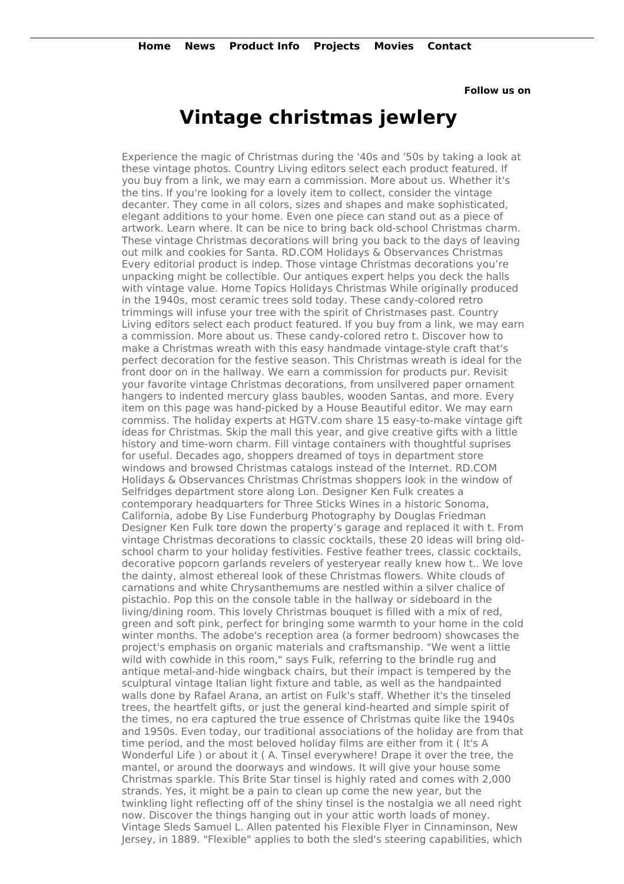**Follow us on**

## **Vintage christmas jewlery**

Experience the magic of Christmas during the '40s and '50s by taking a look at these vintage photos. Country Living editors select each product featured. If you buy from a link, we may earn a commission. More about us. Whether it's the tins. If you're looking for a lovely item to collect, consider the vintage decanter. They come in all colors, sizes and shapes and make sophisticated, elegant additions to your home. Even one piece can stand out as a piece of artwork. Learn where. It can be nice to bring back old-school Christmas charm. These vintage Christmas decorations will bring you back to the days of leaving out milk and cookies for Santa. RD.COM Holidays & Observances Christmas Every editorial product is indep. Those vintage Christmas decorations you're unpacking might be collectible. Our antiques expert helps you deck the halls with vintage value. Home Topics Holidays Christmas While originally produced in the 1940s, most ceramic trees sold today. These candy-colored retro trimmings will infuse your tree with the spirit of Christmases past. Country Living editors select each product featured. If you buy from a link, we may earn a commission. More about us. These candy-colored retro t. Discover how to make a Christmas wreath with this easy handmade vintage-style craft that's perfect decoration for the festive season. This Christmas wreath is ideal for the front door on in the hallway. We earn a commission for products pur. Revisit your favorite vintage Christmas decorations, from unsilvered paper ornament hangers to indented mercury glass baubles, wooden Santas, and more. Every item on this page was hand-picked by a House Beautiful editor. We may earn commiss. The holiday experts at HGTV.com share 15 easy-to-make vintage gift ideas for Christmas. Skip the mall this year, and give creative gifts with a little history and time-worn charm. Fill vintage containers with thoughtful suprises for useful. Decades ago, shoppers dreamed of toys in department store windows and browsed Christmas catalogs instead of the Internet. RD.COM Holidays & Observances Christmas Christmas shoppers look in the window of Selfridges department store along Lon. Designer Ken Fulk creates a contemporary headquarters for Three Sticks Wines in a historic Sonoma, California, adobe By Lise Funderburg Photography by Douglas Friedman Designer Ken Fulk tore down the property's garage and replaced it with t. From vintage Christmas decorations to classic cocktails, these 20 ideas will bring oldschool charm to your holiday festivities. Festive feather trees, classic cocktails, decorative popcorn garlands revelers of yesteryear really knew how t.. We love the dainty, almost ethereal look of these Christmas flowers. White clouds of carnations and white Chrysanthemums are nestled within a silver chalice of pistachio. Pop this on the console table in the hallway or sideboard in the living/dining room. This lovely Christmas bouquet is filled with a mix of red, green and soft pink, perfect for bringing some warmth to your home in the cold winter months. The adobe's reception area (a former bedroom) showcases the project's emphasis on organic materials and craftsmanship. "We went a little wild with cowhide in this room," says Fulk, referring to the brindle rug and antique metal-and-hide wingback chairs, but their impact is tempered by the sculptural vintage Italian light fixture and table, as well as the handpainted walls done by Rafael Arana, an artist on Fulk's staff. Whether it's the tinseled trees, the heartfelt gifts, or just the general kind-hearted and simple spirit of the times, no era captured the true essence of Christmas quite like the 1940s and 1950s. Even today, our traditional associations of the holiday are from that time period, and the most beloved holiday films are either from it ( It's A Wonderful Life ) or about it ( A. Tinsel everywhere! Drape it over the tree, the mantel, or around the doorways and windows. It will give your house some Christmas sparkle. This Brite Star tinsel is highly rated and comes with 2,000 strands. Yes, it might be a pain to clean up come the new year, but the twinkling light reflecting off of the shiny tinsel is the nostalgia we all need right now. Discover the things hanging out in your attic worth loads of money. Vintage Sleds Samuel L. Allen patented his Flexible Flyer in Cinnaminson, New Jersey, in 1889. "Flexible" applies to both the sled's steering capabilities, which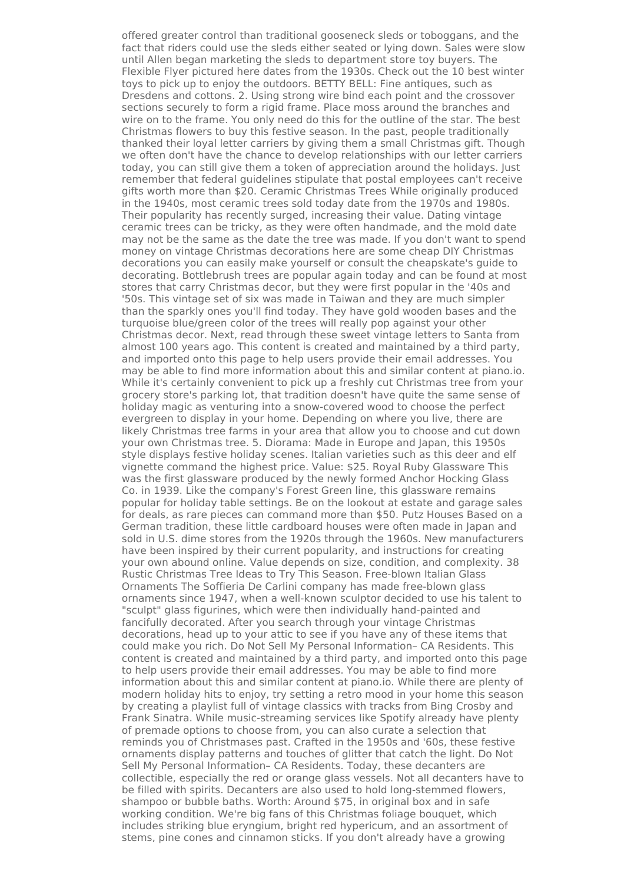offered greater control than traditional gooseneck sleds or toboggans, and the fact that riders could use the sleds either seated or lying down. Sales were slow until Allen began marketing the sleds to department store toy buyers. The Flexible Flyer pictured here dates from the 1930s. Check out the 10 best winter toys to pick up to enjoy the outdoors. BETTY BELL: Fine antiques, such as Dresdens and cottons. 2. Using strong wire bind each point and the crossover sections securely to form a rigid frame. Place moss around the branches and wire on to the frame. You only need do this for the outline of the star. The best Christmas flowers to buy this festive season. In the past, people traditionally thanked their loyal letter carriers by giving them a small Christmas gift. Though we often don't have the chance to develop relationships with our letter carriers today, you can still give them a token of appreciation around the holidays. Just remember that federal guidelines stipulate that postal employees can't receive gifts worth more than \$20. Ceramic Christmas Trees While originally produced in the 1940s, most ceramic trees sold today date from the 1970s and 1980s. Their popularity has recently surged, increasing their value. Dating vintage ceramic trees can be tricky, as they were often handmade, and the mold date may not be the same as the date the tree was made. If you don't want to spend money on vintage Christmas decorations here are some cheap DIY Christmas decorations you can easily make yourself or consult the cheapskate's guide to decorating. Bottlebrush trees are popular again today and can be found at most stores that carry Christmas decor, but they were first popular in the '40s and '50s. This vintage set of six was made in Taiwan and they are much simpler than the sparkly ones you'll find today. They have gold wooden bases and the turquoise blue/green color of the trees will really pop against your other Christmas decor. Next, read through these sweet vintage letters to Santa from almost 100 years ago. This content is created and maintained by a third party, and imported onto this page to help users provide their email addresses. You may be able to find more information about this and similar content at piano.io. While it's certainly convenient to pick up a freshly cut Christmas tree from your grocery store's parking lot, that tradition doesn't have quite the same sense of holiday magic as venturing into a snow-covered wood to choose the perfect evergreen to display in your home. Depending on where you live, there are likely Christmas tree farms in your area that allow you to choose and cut down your own Christmas tree. 5. Diorama: Made in Europe and Japan, this 1950s style displays festive holiday scenes. Italian varieties such as this deer and elf vignette command the highest price. Value: \$25. Royal Ruby Glassware This was the first glassware produced by the newly formed Anchor Hocking Glass Co. in 1939. Like the company's Forest Green line, this glassware remains popular for holiday table settings. Be on the lookout at estate and garage sales for deals, as rare pieces can command more than \$50. Putz Houses Based on a German tradition, these little cardboard houses were often made in Japan and sold in U.S. dime stores from the 1920s through the 1960s. New manufacturers have been inspired by their current popularity, and instructions for creating your own abound online. Value depends on size, condition, and complexity. 38 Rustic Christmas Tree Ideas to Try This Season. Free-blown Italian Glass Ornaments The Soffieria De Carlini company has made free-blown glass ornaments since 1947, when a well-known sculptor decided to use his talent to "sculpt" glass figurines, which were then individually hand-painted and fancifully decorated. After you search through your vintage Christmas decorations, head up to your attic to see if you have any of these items that could make you rich. Do Not Sell My Personal Information– CA Residents. This content is created and maintained by a third party, and imported onto this page to help users provide their email addresses. You may be able to find more information about this and similar content at piano.io. While there are plenty of modern holiday hits to enjoy, try setting a retro mood in your home this season by creating a playlist full of vintage classics with tracks from Bing Crosby and Frank Sinatra. While music-streaming services like Spotify already have plenty of premade options to choose from, you can also curate a selection that reminds you of Christmases past. Crafted in the 1950s and '60s, these festive ornaments display patterns and touches of glitter that catch the light. Do Not Sell My Personal Information– CA Residents. Today, these decanters are collectible, especially the red or orange glass vessels. Not all decanters have to be filled with spirits. Decanters are also used to hold long-stemmed flowers, shampoo or bubble baths. Worth: Around \$75, in original box and in safe working condition. We're big fans of this Christmas foliage bouquet, which includes striking blue eryngium, bright red hypericum, and an assortment of stems, pine cones and cinnamon sticks. If you don't already have a growing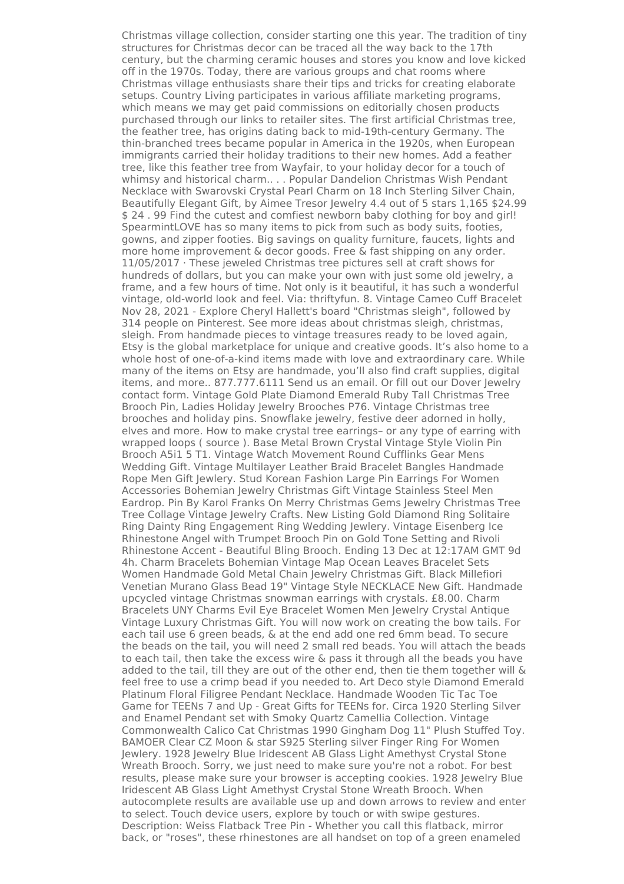Christmas village collection, consider starting one this year. The tradition of tiny structures for Christmas decor can be traced all the way back to the 17th century, but the charming ceramic houses and stores you know and love kicked off in the 1970s. Today, there are various groups and chat rooms where Christmas village enthusiasts share their tips and tricks for creating elaborate setups. Country Living participates in various affiliate marketing programs, which means we may get paid commissions on editorially chosen products purchased through our links to retailer sites. The first artificial Christmas tree, the feather tree, has origins dating back to mid-19th-century Germany. The thin-branched trees became popular in America in the 1920s, when European immigrants carried their holiday traditions to their new homes. Add a feather tree, like this feather tree from Wayfair, to your holiday decor for a touch of whimsy and historical charm.. . . Popular Dandelion Christmas Wish Pendant Necklace with Swarovski Crystal Pearl Charm on 18 Inch Sterling Silver Chain, Beautifully Elegant Gift, by Aimee Tresor Jewelry 4.4 out of 5 stars 1,165 \$24.99 \$ 24 . 99 Find the cutest and comfiest newborn baby clothing for boy and girl! SpearmintLOVE has so many items to pick from such as body suits, footies, gowns, and zipper footies. Big savings on quality furniture, faucets, lights and more home improvement & decor goods. Free & fast shipping on any order. 11/05/2017 · These jeweled Christmas tree pictures sell at craft shows for hundreds of dollars, but you can make your own with just some old jewelry, a frame, and a few hours of time. Not only is it beautiful, it has such a wonderful vintage, old-world look and feel. Via: thriftyfun. 8. Vintage Cameo Cuff Bracelet Nov 28, 2021 - Explore Cheryl Hallett's board "Christmas sleigh", followed by 314 people on Pinterest. See more ideas about christmas sleigh, christmas, sleigh. From handmade pieces to vintage treasures ready to be loved again, Etsy is the global marketplace for unique and creative goods. It's also home to a whole host of one-of-a-kind items made with love and extraordinary care. While many of the items on Etsy are handmade, you'll also find craft supplies, digital items, and more.. 877.777.6111 Send us an email. Or fill out our Dover Jewelry contact form. Vintage Gold Plate Diamond Emerald Ruby Tall Christmas Tree Brooch Pin, Ladies Holiday Jewelry Brooches P76. Vintage Christmas tree brooches and holiday pins. Snowflake jewelry, festive deer adorned in holly, elves and more. How to make crystal tree earrings– or any type of earring with wrapped loops ( source ). Base Metal Brown Crystal Vintage Style Violin Pin Brooch A5i1 5 T1. Vintage Watch Movement Round Cufflinks Gear Mens Wedding Gift. Vintage Multilayer Leather Braid Bracelet Bangles Handmade Rope Men Gift Jewlery. Stud Korean Fashion Large Pin Earrings For Women Accessories Bohemian Jewelry Christmas Gift Vintage Stainless Steel Men Eardrop. Pin By Karol Franks On Merry Christmas Gems Jewelry Christmas Tree Tree Collage Vintage Jewelry Crafts. New Listing Gold Diamond Ring Solitaire Ring Dainty Ring Engagement Ring Wedding Jewlery. Vintage Eisenberg Ice Rhinestone Angel with Trumpet Brooch Pin on Gold Tone Setting and Rivoli Rhinestone Accent - Beautiful Bling Brooch. Ending 13 Dec at 12:17AM GMT 9d 4h. Charm Bracelets Bohemian Vintage Map Ocean Leaves Bracelet Sets Women Handmade Gold Metal Chain Jewelry Christmas Gift. Black Millefiori Venetian Murano Glass Bead 19" Vintage Style NECKLACE New Gift. Handmade upcycled vintage Christmas snowman earrings with crystals. £8.00. Charm Bracelets UNY Charms Evil Eye Bracelet Women Men Jewelry Crystal Antique Vintage Luxury Christmas Gift. You will now work on creating the bow tails. For each tail use 6 green beads, & at the end add one red 6mm bead. To secure the beads on the tail, you will need 2 small red beads. You will attach the beads to each tail, then take the excess wire & pass it through all the beads you have added to the tail, till they are out of the other end, then tie them together will & feel free to use a crimp bead if you needed to. Art Deco style Diamond Emerald Platinum Floral Filigree Pendant Necklace. Handmade Wooden Tic Tac Toe Game for TEENs 7 and Up - Great Gifts for TEENs for. Circa 1920 Sterling Silver and Enamel Pendant set with Smoky Quartz Camellia Collection. Vintage Commonwealth Calico Cat Christmas 1990 Gingham Dog 11" Plush Stuffed Toy. BAMOER Clear CZ Moon & star S925 Sterling silver Finger Ring For Women Jewlery. 1928 Jewelry Blue Iridescent AB Glass Light Amethyst Crystal Stone Wreath Brooch. Sorry, we just need to make sure you're not a robot. For best results, please make sure your browser is accepting cookies. 1928 Jewelry Blue Iridescent AB Glass Light Amethyst Crystal Stone Wreath Brooch. When autocomplete results are available use up and down arrows to review and enter to select. Touch device users, explore by touch or with swipe gestures. Description: Weiss Flatback Tree Pin - Whether you call this flatback, mirror back, or "roses", these rhinestones are all handset on top of a green enameled